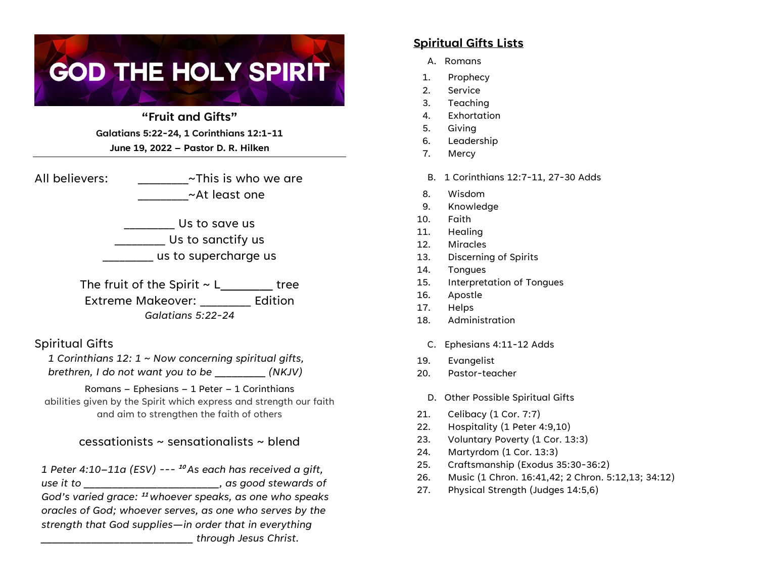# **GOD THE HOLY SPIRIT**

**"Fruit and Gifts" Galatians 5:22-24, 1 Corinthians 12:1-11 June 19, 2022 – Pastor D. R. Hilken**

All believers:  $\sim$ This is who we are \_\_\_\_\_\_\_\_\_~At least one

> \_\_\_\_\_\_\_\_\_ Us to save us \_\_\_\_\_\_\_\_\_ Us to sanctify us \_\_\_\_\_\_\_\_\_ us to supercharge us

The fruit of the Spirit  $\sim$  L  $\qquad \qquad$  tree Extreme Makeover: Edition *Galatians 5:22-24*

Spiritual Gifts

*1 Corinthians 12: 1 ~ Now concerning spiritual gifts, brethren, I do not want you to be* \_\_\_\_\_\_\_\_\_ *(NKJV)*

Romans – Ephesians – 1 Peter – 1 Corinthians abilities given by the Spirit which express and strength our faith and aim to strengthen the faith of others

## cessationists ~ sensationalists ~ blend

*1 Peter 4:10–11a (ESV) ---* **<sup>10</sup>** *As each has received a gift, use it to \_\_\_\_\_\_\_\_\_\_\_\_\_\_\_\_\_\_\_\_\_\_\_\_, as good stewards of God's varied grace:* **<sup>11</sup>** *whoever speaks, as one who speaks oracles of God; whoever serves, as one who serves by the strength that God supplies—in order that in everything \_\_\_\_\_\_\_\_\_\_\_\_\_\_\_\_\_\_\_\_\_\_\_\_\_\_\_ through Jesus Christ.*

#### **Spiritual Gifts Lists**

- A. Romans
- 1. Prophecy
- 2. Service
- 3. Teaching
- 4. Exhortation
- 5. Giving
- 6. Leadership
- 7. Mercy
- B. 1 Corinthians 12:7-11, 27-30 Adds
- 8. Wisdom
- 9. Knowledge
- 10. Faith
- 11. Healing
- 12. Miracles
- 13. Discerning of Spirits
- 14. Tongues
- 15. Interpretation of Tongues
- 16. Apostle
- 17. Helps
- 18. Administration
- C. Ephesians 4:11-12 Adds
- 19. Evangelist
- 20. Pastor-teacher
- D. Other Possible Spiritual Gifts
- 21. Celibacy (1 Cor. 7:7)
- 22. Hospitality (1 Peter 4:9,10)
- 23. Voluntary Poverty (1 Cor. 13:3)
- 24. Martyrdom (1 Cor. 13:3)
- 25. Craftsmanship (Exodus 35:30-36:2)
- 26. Music (1 Chron. 16:41,42; 2 Chron. 5:12,13; 34:12)
- 27. Physical Strength (Judges 14:5,6)